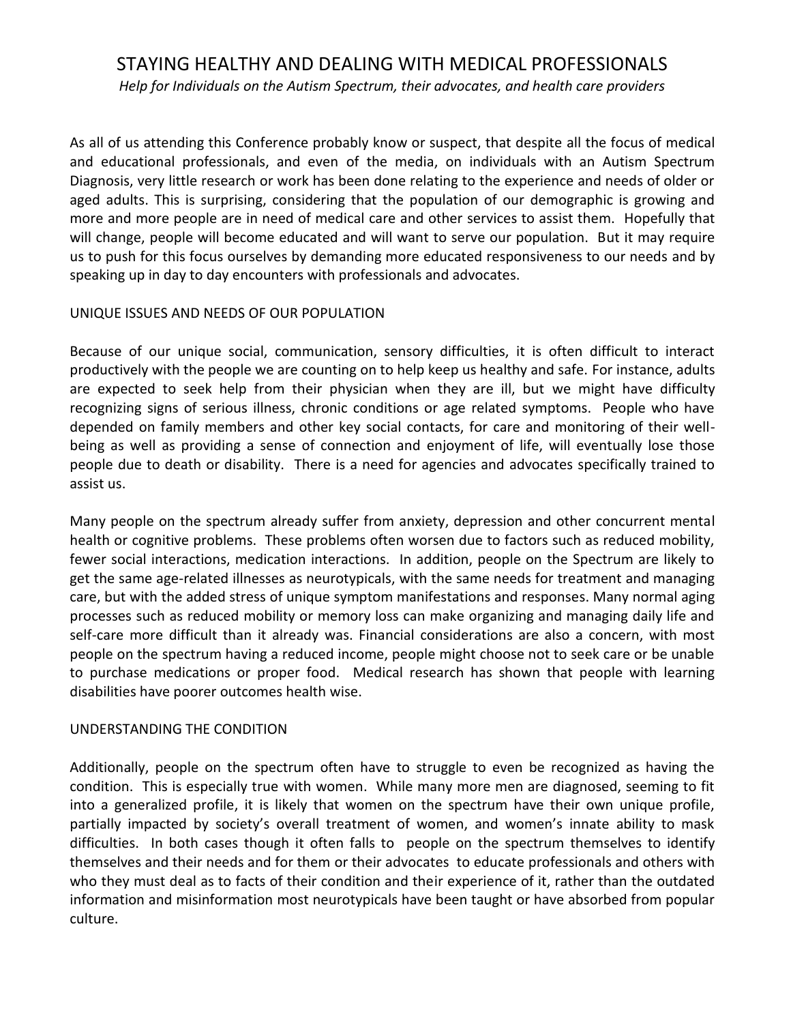# STAYING HEALTHY AND DEALING WITH MEDICAL PROFESSIONALS

*Help for Individuals on the Autism Spectrum, their advocates, and health care providers*

As all of us attending this Conference probably know or suspect, that despite all the focus of medical and educational professionals, and even of the media, on individuals with an Autism Spectrum Diagnosis, very little research or work has been done relating to the experience and needs of older or aged adults. This is surprising, considering that the population of our demographic is growing and more and more people are in need of medical care and other services to assist them. Hopefully that will change, people will become educated and will want to serve our population. But it may require us to push for this focus ourselves by demanding more educated responsiveness to our needs and by speaking up in day to day encounters with professionals and advocates.

#### UNIQUE ISSUES AND NEEDS OF OUR POPULATION

Because of our unique social, communication, sensory difficulties, it is often difficult to interact productively with the people we are counting on to help keep us healthy and safe. For instance, adults are expected to seek help from their physician when they are ill, but we might have difficulty recognizing signs of serious illness, chronic conditions or age related symptoms. People who have depended on family members and other key social contacts, for care and monitoring of their wellbeing as well as providing a sense of connection and enjoyment of life, will eventually lose those people due to death or disability. There is a need for agencies and advocates specifically trained to assist us.

Many people on the spectrum already suffer from anxiety, depression and other concurrent mental health or cognitive problems. These problems often worsen due to factors such as reduced mobility, fewer social interactions, medication interactions. In addition, people on the Spectrum are likely to get the same age-related illnesses as neurotypicals, with the same needs for treatment and managing care, but with the added stress of unique symptom manifestations and responses. Many normal aging processes such as reduced mobility or memory loss can make organizing and managing daily life and self-care more difficult than it already was. Financial considerations are also a concern, with most people on the spectrum having a reduced income, people might choose not to seek care or be unable to purchase medications or proper food. Medical research has shown that people with learning disabilities have poorer outcomes health wise.

#### UNDERSTANDING THE CONDITION

Additionally, people on the spectrum often have to struggle to even be recognized as having the condition. This is especially true with women. While many more men are diagnosed, seeming to fit into a generalized profile, it is likely that women on the spectrum have their own unique profile, partially impacted by society's overall treatment of women, and women's innate ability to mask difficulties. In both cases though it often falls to people on the spectrum themselves to identify themselves and their needs and for them or their advocates to educate professionals and others with who they must deal as to facts of their condition and their experience of it, rather than the outdated information and misinformation most neurotypicals have been taught or have absorbed from popular culture.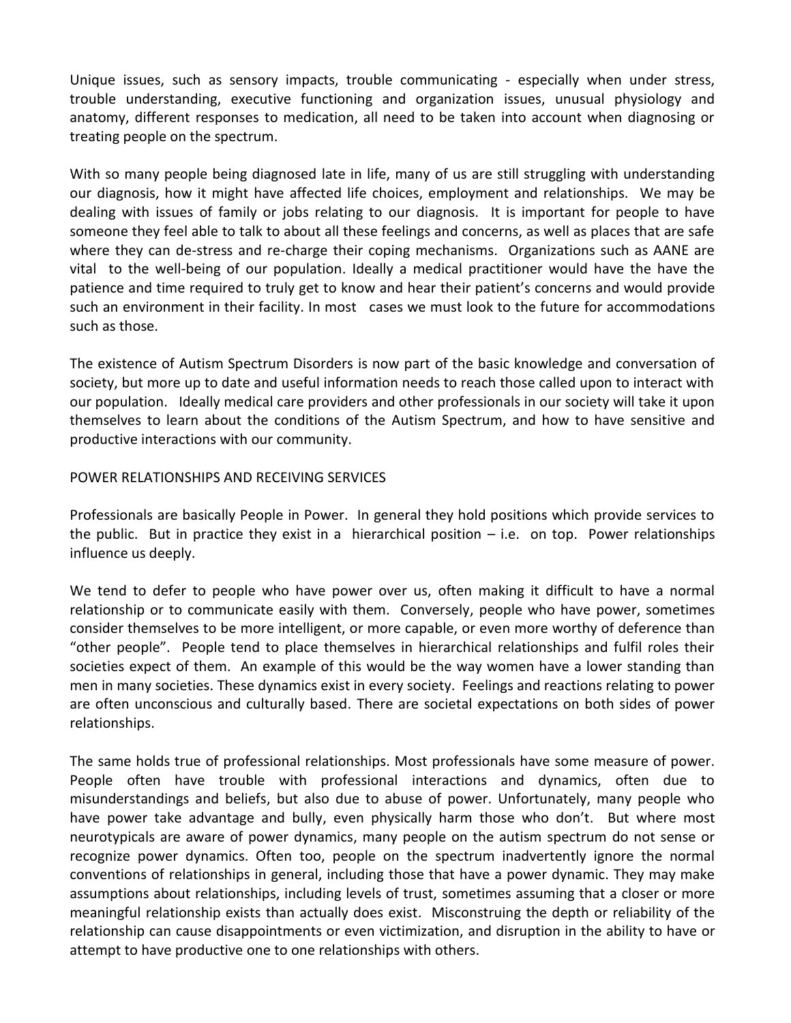Unique issues, such as sensory impacts, trouble communicating - especially when under stress, trouble understanding, executive functioning and organization issues, unusual physiology and anatomy, different responses to medication, all need to be taken into account when diagnosing or treating people on the spectrum.

With so many people being diagnosed late in life, many of us are still struggling with understanding our diagnosis, how it might have affected life choices, employment and relationships. We may be dealing with issues of family or jobs relating to our diagnosis. It is important for people to have someone they feel able to talk to about all these feelings and concerns, as well as places that are safe where they can de-stress and re-charge their coping mechanisms. Organizations such as AANE are vital to the well-being of our population. Ideally a medical practitioner would have the have the patience and time required to truly get to know and hear their patient's concerns and would provide such an environment in their facility. In most cases we must look to the future for accommodations such as those.

The existence of Autism Spectrum Disorders is now part of the basic knowledge and conversation of society, but more up to date and useful information needs to reach those called upon to interact with our population. Ideally medical care providers and other professionals in our society will take it upon themselves to learn about the conditions of the Autism Spectrum, and how to have sensitive and productive interactions with our community.

#### POWER RELATIONSHIPS AND RECEIVING SERVICES

Professionals are basically People in Power. In general they hold positions which provide services to the public. But in practice they exist in a hierarchical position  $-$  i.e. on top. Power relationships influence us deeply.

We tend to defer to people who have power over us, often making it difficult to have a normal relationship or to communicate easily with them. Conversely, people who have power, sometimes consider themselves to be more intelligent, or more capable, or even more worthy of deference than "other people". People tend to place themselves in hierarchical relationships and fulfil roles their societies expect of them. An example of this would be the way women have a lower standing than men in many societies. These dynamics exist in every society. Feelings and reactions relating to power are often unconscious and culturally based. There are societal expectations on both sides of power relationships.

The same holds true of professional relationships. Most professionals have some measure of power. People often have trouble with professional interactions and dynamics, often due to misunderstandings and beliefs, but also due to abuse of power. Unfortunately, many people who have power take advantage and bully, even physically harm those who don't. But where most neurotypicals are aware of power dynamics, many people on the autism spectrum do not sense or recognize power dynamics. Often too, people on the spectrum inadvertently ignore the normal conventions of relationships in general, including those that have a power dynamic. They may make assumptions about relationships, including levels of trust, sometimes assuming that a closer or more meaningful relationship exists than actually does exist. Misconstruing the depth or reliability of the relationship can cause disappointments or even victimization, and disruption in the ability to have or attempt to have productive one to one relationships with others.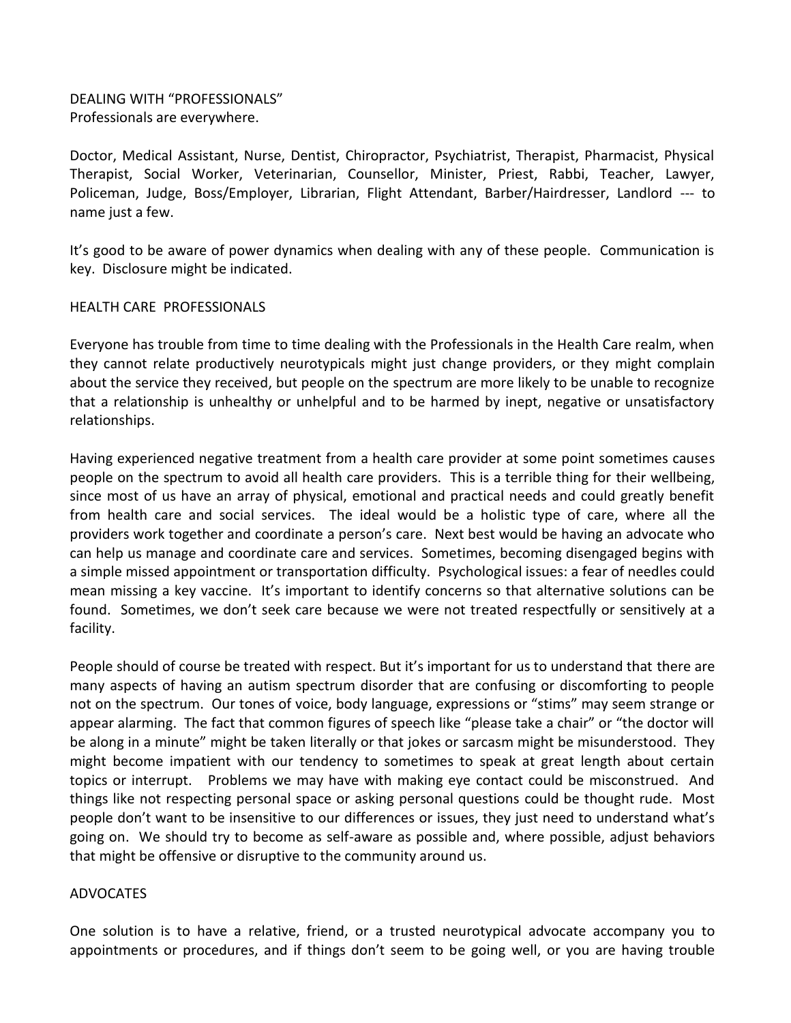DEALING WITH "PROFESSIONALS" Professionals are everywhere.

Doctor, Medical Assistant, Nurse, Dentist, Chiropractor, Psychiatrist, Therapist, Pharmacist, Physical Therapist, Social Worker, Veterinarian, Counsellor, Minister, Priest, Rabbi, Teacher, Lawyer, Policeman, Judge, Boss/Employer, Librarian, Flight Attendant, Barber/Hairdresser, Landlord --- to name just a few.

It's good to be aware of power dynamics when dealing with any of these people. Communication is key. Disclosure might be indicated.

#### HEALTH CARE PROFESSIONALS

Everyone has trouble from time to time dealing with the Professionals in the Health Care realm, when they cannot relate productively neurotypicals might just change providers, or they might complain about the service they received, but people on the spectrum are more likely to be unable to recognize that a relationship is unhealthy or unhelpful and to be harmed by inept, negative or unsatisfactory relationships.

Having experienced negative treatment from a health care provider at some point sometimes causes people on the spectrum to avoid all health care providers. This is a terrible thing for their wellbeing, since most of us have an array of physical, emotional and practical needs and could greatly benefit from health care and social services. The ideal would be a holistic type of care, where all the providers work together and coordinate a person's care. Next best would be having an advocate who can help us manage and coordinate care and services. Sometimes, becoming disengaged begins with a simple missed appointment or transportation difficulty. Psychological issues: a fear of needles could mean missing a key vaccine. It's important to identify concerns so that alternative solutions can be found. Sometimes, we don't seek care because we were not treated respectfully or sensitively at a facility.

People should of course be treated with respect. But it's important for us to understand that there are many aspects of having an autism spectrum disorder that are confusing or discomforting to people not on the spectrum. Our tones of voice, body language, expressions or "stims" may seem strange or appear alarming. The fact that common figures of speech like "please take a chair" or "the doctor will be along in a minute" might be taken literally or that jokes or sarcasm might be misunderstood. They might become impatient with our tendency to sometimes to speak at great length about certain topics or interrupt. Problems we may have with making eye contact could be misconstrued. And things like not respecting personal space or asking personal questions could be thought rude. Most people don't want to be insensitive to our differences or issues, they just need to understand what's going on. We should try to become as self-aware as possible and, where possible, adjust behaviors that might be offensive or disruptive to the community around us.

#### ADVOCATES

One solution is to have a relative, friend, or a trusted neurotypical advocate accompany you to appointments or procedures, and if things don't seem to be going well, or you are having trouble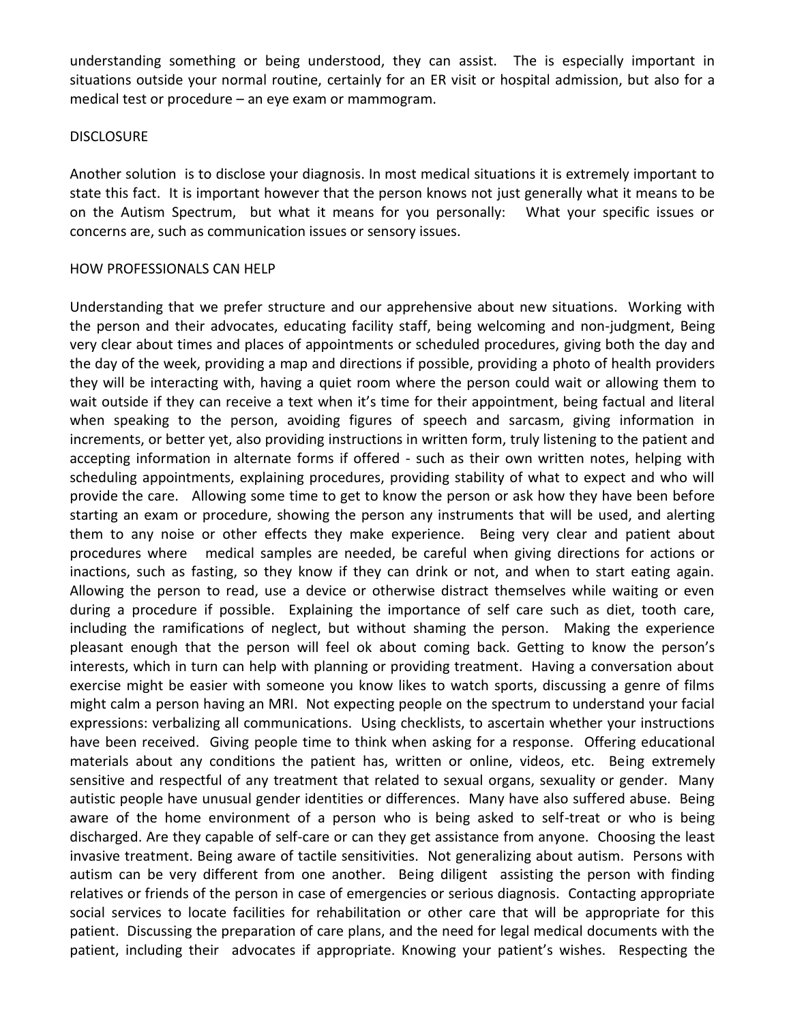understanding something or being understood, they can assist. The is especially important in situations outside your normal routine, certainly for an ER visit or hospital admission, but also for a medical test or procedure – an eye exam or mammogram.

#### **DISCLOSURE**

Another solution is to disclose your diagnosis. In most medical situations it is extremely important to state this fact. It is important however that the person knows not just generally what it means to be on the Autism Spectrum, but what it means for you personally: What your specific issues or concerns are, such as communication issues or sensory issues.

#### HOW PROFESSIONALS CAN HELP

Understanding that we prefer structure and our apprehensive about new situations. Working with the person and their advocates, educating facility staff, being welcoming and non-judgment, Being very clear about times and places of appointments or scheduled procedures, giving both the day and the day of the week, providing a map and directions if possible, providing a photo of health providers they will be interacting with, having a quiet room where the person could wait or allowing them to wait outside if they can receive a text when it's time for their appointment, being factual and literal when speaking to the person, avoiding figures of speech and sarcasm, giving information in increments, or better yet, also providing instructions in written form, truly listening to the patient and accepting information in alternate forms if offered - such as their own written notes, helping with scheduling appointments, explaining procedures, providing stability of what to expect and who will provide the care. Allowing some time to get to know the person or ask how they have been before starting an exam or procedure, showing the person any instruments that will be used, and alerting them to any noise or other effects they make experience. Being very clear and patient about procedures where medical samples are needed, be careful when giving directions for actions or inactions, such as fasting, so they know if they can drink or not, and when to start eating again. Allowing the person to read, use a device or otherwise distract themselves while waiting or even during a procedure if possible. Explaining the importance of self care such as diet, tooth care, including the ramifications of neglect, but without shaming the person. Making the experience pleasant enough that the person will feel ok about coming back. Getting to know the person's interests, which in turn can help with planning or providing treatment. Having a conversation about exercise might be easier with someone you know likes to watch sports, discussing a genre of films might calm a person having an MRI. Not expecting people on the spectrum to understand your facial expressions: verbalizing all communications. Using checklists, to ascertain whether your instructions have been received. Giving people time to think when asking for a response. Offering educational materials about any conditions the patient has, written or online, videos, etc. Being extremely sensitive and respectful of any treatment that related to sexual organs, sexuality or gender. Many autistic people have unusual gender identities or differences. Many have also suffered abuse. Being aware of the home environment of a person who is being asked to self-treat or who is being discharged. Are they capable of self-care or can they get assistance from anyone. Choosing the least invasive treatment. Being aware of tactile sensitivities. Not generalizing about autism. Persons with autism can be very different from one another. Being diligent assisting the person with finding relatives or friends of the person in case of emergencies or serious diagnosis. Contacting appropriate social services to locate facilities for rehabilitation or other care that will be appropriate for this patient. Discussing the preparation of care plans, and the need for legal medical documents with the patient, including their advocates if appropriate. Knowing your patient's wishes. Respecting the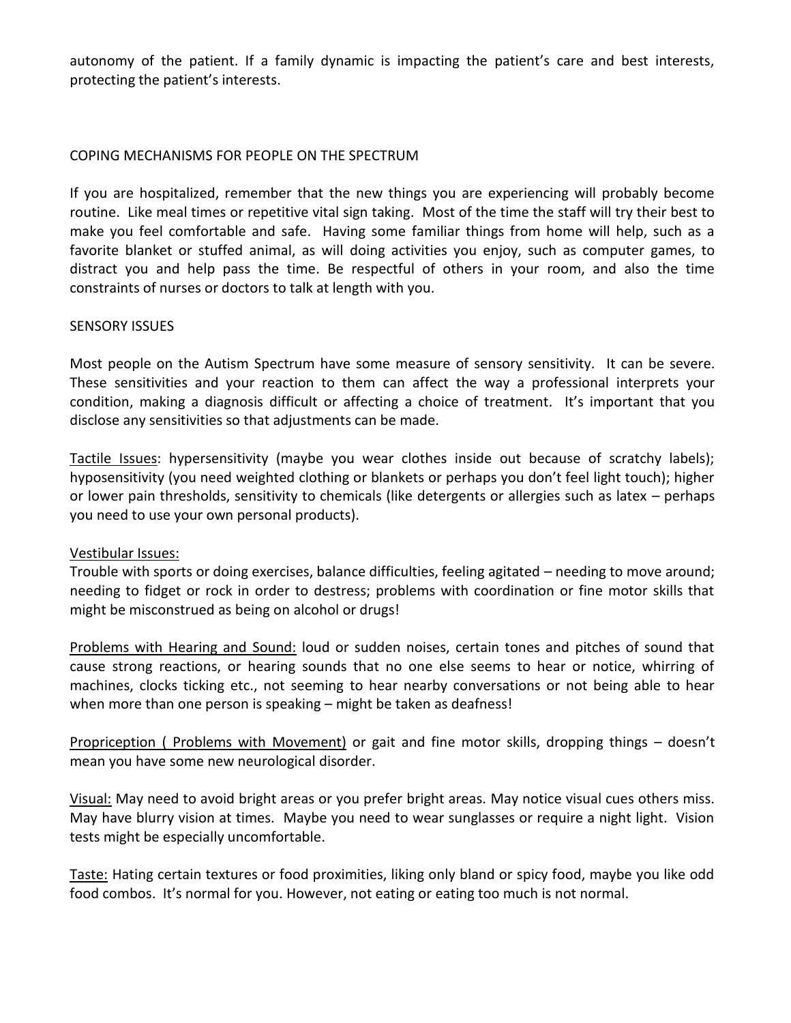autonomy of the patient. If a family dynamic is impacting the patient's care and best interests, protecting the patient's interests.

## COPING MECHANISMS FOR PEOPLE ON THE SPECTRUM

If you are hospitalized, remember that the new things you are experiencing will probably become routine. Like meal times or repetitive vital sign taking. Most of the time the staff will try their best to make you feel comfortable and safe. Having some familiar things from home will help, such as a favorite blanket or stuffed animal, as will doing activities you enjoy, such as computer games, to distract you and help pass the time. Be respectful of others in your room, and also the time constraints of nurses or doctors to talk at length with you.

## SENSORY ISSUES

Most people on the Autism Spectrum have some measure of sensory sensitivity. It can be severe. These sensitivities and your reaction to them can affect the way a professional interprets your condition, making a diagnosis difficult or affecting a choice of treatment. It's important that you disclose any sensitivities so that adjustments can be made.

Tactile Issues: hypersensitivity (maybe you wear clothes inside out because of scratchy labels); hyposensitivity (you need weighted clothing or blankets or perhaps you don't feel light touch); higher or lower pain thresholds, sensitivity to chemicals (like detergents or allergies such as latex – perhaps you need to use your own personal products).

## Vestibular Issues:

Trouble with sports or doing exercises, balance difficulties, feeling agitated – needing to move around; needing to fidget or rock in order to destress; problems with coordination or fine motor skills that might be misconstrued as being on alcohol or drugs!

Problems with Hearing and Sound: loud or sudden noises, certain tones and pitches of sound that cause strong reactions, or hearing sounds that no one else seems to hear or notice, whirring of machines, clocks ticking etc., not seeming to hear nearby conversations or not being able to hear when more than one person is speaking – might be taken as deafness!

Propriception ( Problems with Movement) or gait and fine motor skills, dropping things – doesn't mean you have some new neurological disorder.

Visual: May need to avoid bright areas or you prefer bright areas. May notice visual cues others miss. May have blurry vision at times. Maybe you need to wear sunglasses or require a night light. Vision tests might be especially uncomfortable.

Taste: Hating certain textures or food proximities, liking only bland or spicy food, maybe you like odd food combos. It's normal for you. However, not eating or eating too much is not normal.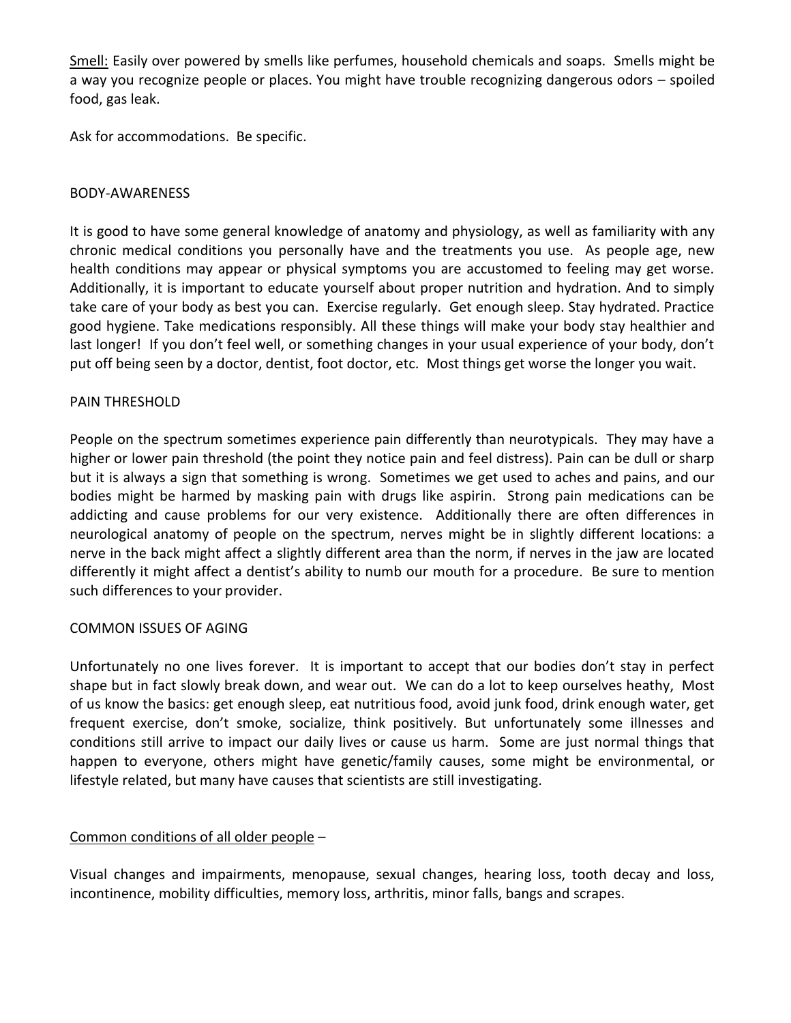Smell: Easily over powered by smells like perfumes, household chemicals and soaps. Smells might be a way you recognize people or places. You might have trouble recognizing dangerous odors – spoiled food, gas leak.

Ask for accommodations. Be specific.

#### BODY-AWARENESS

It is good to have some general knowledge of anatomy and physiology, as well as familiarity with any chronic medical conditions you personally have and the treatments you use. As people age, new health conditions may appear or physical symptoms you are accustomed to feeling may get worse. Additionally, it is important to educate yourself about proper nutrition and hydration. And to simply take care of your body as best you can. Exercise regularly. Get enough sleep. Stay hydrated. Practice good hygiene. Take medications responsibly. All these things will make your body stay healthier and last longer! If you don't feel well, or something changes in your usual experience of your body, don't put off being seen by a doctor, dentist, foot doctor, etc. Most things get worse the longer you wait.

#### PAIN THRESHOLD

People on the spectrum sometimes experience pain differently than neurotypicals. They may have a higher or lower pain threshold (the point they notice pain and feel distress). Pain can be dull or sharp but it is always a sign that something is wrong. Sometimes we get used to aches and pains, and our bodies might be harmed by masking pain with drugs like aspirin. Strong pain medications can be addicting and cause problems for our very existence. Additionally there are often differences in neurological anatomy of people on the spectrum, nerves might be in slightly different locations: a nerve in the back might affect a slightly different area than the norm, if nerves in the jaw are located differently it might affect a dentist's ability to numb our mouth for a procedure. Be sure to mention such differences to your provider.

## COMMON ISSUES OF AGING

Unfortunately no one lives forever. It is important to accept that our bodies don't stay in perfect shape but in fact slowly break down, and wear out. We can do a lot to keep ourselves heathy, Most of us know the basics: get enough sleep, eat nutritious food, avoid junk food, drink enough water, get frequent exercise, don't smoke, socialize, think positively. But unfortunately some illnesses and conditions still arrive to impact our daily lives or cause us harm. Some are just normal things that happen to everyone, others might have genetic/family causes, some might be environmental, or lifestyle related, but many have causes that scientists are still investigating.

## Common conditions of all older people –

Visual changes and impairments, menopause, sexual changes, hearing loss, tooth decay and loss, incontinence, mobility difficulties, memory loss, arthritis, minor falls, bangs and scrapes.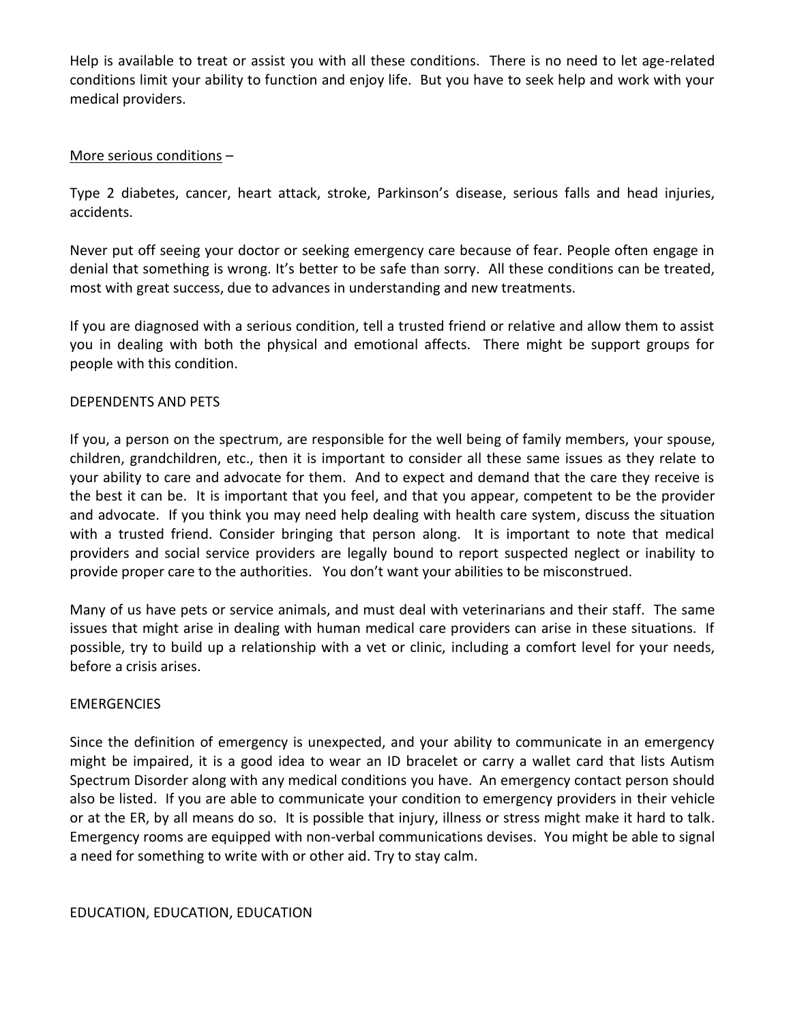Help is available to treat or assist you with all these conditions. There is no need to let age-related conditions limit your ability to function and enjoy life. But you have to seek help and work with your medical providers.

## More serious conditions –

Type 2 diabetes, cancer, heart attack, stroke, Parkinson's disease, serious falls and head injuries, accidents.

Never put off seeing your doctor or seeking emergency care because of fear. People often engage in denial that something is wrong. It's better to be safe than sorry. All these conditions can be treated, most with great success, due to advances in understanding and new treatments.

If you are diagnosed with a serious condition, tell a trusted friend or relative and allow them to assist you in dealing with both the physical and emotional affects. There might be support groups for people with this condition.

## DEPENDENTS AND PETS

If you, a person on the spectrum, are responsible for the well being of family members, your spouse, children, grandchildren, etc., then it is important to consider all these same issues as they relate to your ability to care and advocate for them. And to expect and demand that the care they receive is the best it can be. It is important that you feel, and that you appear, competent to be the provider and advocate. If you think you may need help dealing with health care system, discuss the situation with a trusted friend. Consider bringing that person along. It is important to note that medical providers and social service providers are legally bound to report suspected neglect or inability to provide proper care to the authorities. You don't want your abilities to be misconstrued.

Many of us have pets or service animals, and must deal with veterinarians and their staff. The same issues that might arise in dealing with human medical care providers can arise in these situations. If possible, try to build up a relationship with a vet or clinic, including a comfort level for your needs, before a crisis arises.

## **EMERGENCIES**

Since the definition of emergency is unexpected, and your ability to communicate in an emergency might be impaired, it is a good idea to wear an ID bracelet or carry a wallet card that lists Autism Spectrum Disorder along with any medical conditions you have. An emergency contact person should also be listed. If you are able to communicate your condition to emergency providers in their vehicle or at the ER, by all means do so. It is possible that injury, illness or stress might make it hard to talk. Emergency rooms are equipped with non-verbal communications devises. You might be able to signal a need for something to write with or other aid. Try to stay calm.

## EDUCATION, EDUCATION, EDUCATION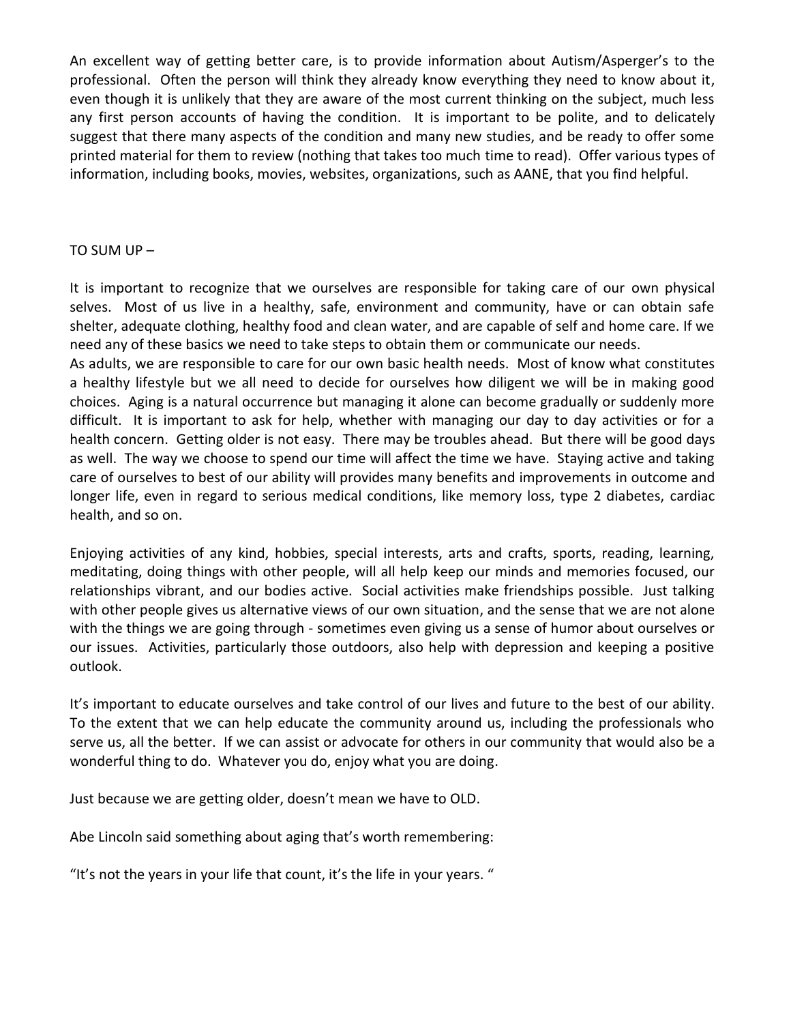An excellent way of getting better care, is to provide information about Autism/Asperger's to the professional. Often the person will think they already know everything they need to know about it, even though it is unlikely that they are aware of the most current thinking on the subject, much less any first person accounts of having the condition. It is important to be polite, and to delicately suggest that there many aspects of the condition and many new studies, and be ready to offer some printed material for them to review (nothing that takes too much time to read). Offer various types of information, including books, movies, websites, organizations, such as AANE, that you find helpful.

#### TO SUM UP –

It is important to recognize that we ourselves are responsible for taking care of our own physical selves. Most of us live in a healthy, safe, environment and community, have or can obtain safe shelter, adequate clothing, healthy food and clean water, and are capable of self and home care. If we need any of these basics we need to take steps to obtain them or communicate our needs.

As adults, we are responsible to care for our own basic health needs. Most of know what constitutes a healthy lifestyle but we all need to decide for ourselves how diligent we will be in making good choices. Aging is a natural occurrence but managing it alone can become gradually or suddenly more difficult. It is important to ask for help, whether with managing our day to day activities or for a health concern. Getting older is not easy. There may be troubles ahead. But there will be good days as well. The way we choose to spend our time will affect the time we have. Staying active and taking care of ourselves to best of our ability will provides many benefits and improvements in outcome and longer life, even in regard to serious medical conditions, like memory loss, type 2 diabetes, cardiac health, and so on.

Enjoying activities of any kind, hobbies, special interests, arts and crafts, sports, reading, learning, meditating, doing things with other people, will all help keep our minds and memories focused, our relationships vibrant, and our bodies active. Social activities make friendships possible. Just talking with other people gives us alternative views of our own situation, and the sense that we are not alone with the things we are going through - sometimes even giving us a sense of humor about ourselves or our issues. Activities, particularly those outdoors, also help with depression and keeping a positive outlook.

It's important to educate ourselves and take control of our lives and future to the best of our ability. To the extent that we can help educate the community around us, including the professionals who serve us, all the better. If we can assist or advocate for others in our community that would also be a wonderful thing to do. Whatever you do, enjoy what you are doing.

Just because we are getting older, doesn't mean we have to OLD.

Abe Lincoln said something about aging that's worth remembering:

"It's not the years in your life that count, it's the life in your years. "